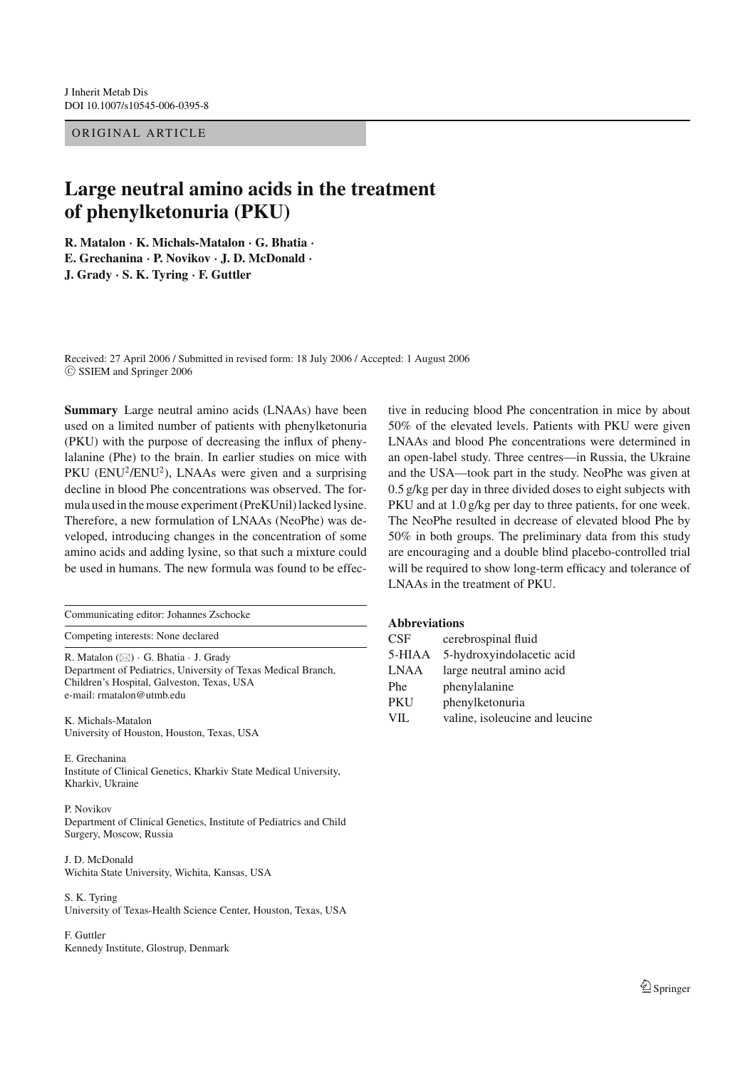ORIGINAL ARTICLE

# **Large neutral amino acids in the treatment of phenylketonuria (PKU)**

**R. Matalon** *·* **K. Michals-Matalon** *·* **G. Bhatia** *·* **E. Grechanina** *·* **P. Novikov** *·* **J. D. McDonald** *·* **J. Grady** *·* **S. K. Tyring** *·* **F. Guttler**

Received: 27 April 2006 / Submitted in revised form: 18 July 2006 / Accepted: 1 August 2006  $\oslash$  SSIEM and Springer 2006

**Summary** Large neutral amino acids (LNAAs) have been used on a limited number of patients with phenylketonuria (PKU) with the purpose of decreasing the influx of phenylalanine (Phe) to the brain. In earlier studies on mice with PKU ( $ENU^2/ENU^2$ ), LNAAs were given and a surprising decline in blood Phe concentrations was observed. The formula used in the mouse experiment (PreKUnil) lacked lysine. Therefore, a new formulation of LNAAs (NeoPhe) was developed, introducing changes in the concentration of some amino acids and adding lysine, so that such a mixture could be used in humans. The new formula was found to be effec-

| Communicating editor: Johannes Zschocke                                                                                                                                                                 |  |
|---------------------------------------------------------------------------------------------------------------------------------------------------------------------------------------------------------|--|
| Competing interests: None declared                                                                                                                                                                      |  |
| R. Matalon $(\boxtimes) \cdot G$ . Bhatia $\cdot J$ . Grady<br>Department of Pediatrics, University of Texas Medical Branch,<br>Children's Hospital, Galveston, Texas, USA<br>e-mail: rmatalon@utmb.edu |  |

K. Michals-Matalon University of Houston, Houston, Texas, USA

E. Grechanina Institute of Clinical Genetics, Kharkiv State Medical University, Kharkiv, Ukraine

P. Novikov Department of Clinical Genetics, Institute of Pediatrics and Child Surgery, Moscow, Russia

J. D. McDonald Wichita State University, Wichita, Kansas, USA

S. K. Tyring University of Texas-Health Science Center, Houston, Texas, USA

F. Guttler Kennedy Institute, Glostrup, Denmark tive in reducing blood Phe concentration in mice by about 50% of the elevated levels. Patients with PKU were given LNAAs and blood Phe concentrations were determined in an open-label study. Three centres—in Russia, the Ukraine and the USA—took part in the study. NeoPhe was given at 0.5 g/kg per day in three divided doses to eight subjects with PKU and at  $1.0$  g/kg per day to three patients, for one week. The NeoPhe resulted in decrease of elevated blood Phe by 50% in both groups. The preliminary data from this study are encouraging and a double blind placebo-controlled trial will be required to show long-term efficacy and tolerance of LNAAs in the treatment of PKU.

#### **Abbreviations**

| $\operatorname{CSF}$ | cerebrospinal fluid            |
|----------------------|--------------------------------|
| 5-HIAA               | 5-hydroxyindolacetic acid      |
| LNAA                 | large neutral amino acid       |
| Phe                  | phenylalanine                  |
| PKU                  | phenylketonuria                |
| VIL                  | valine, isoleucine and leucine |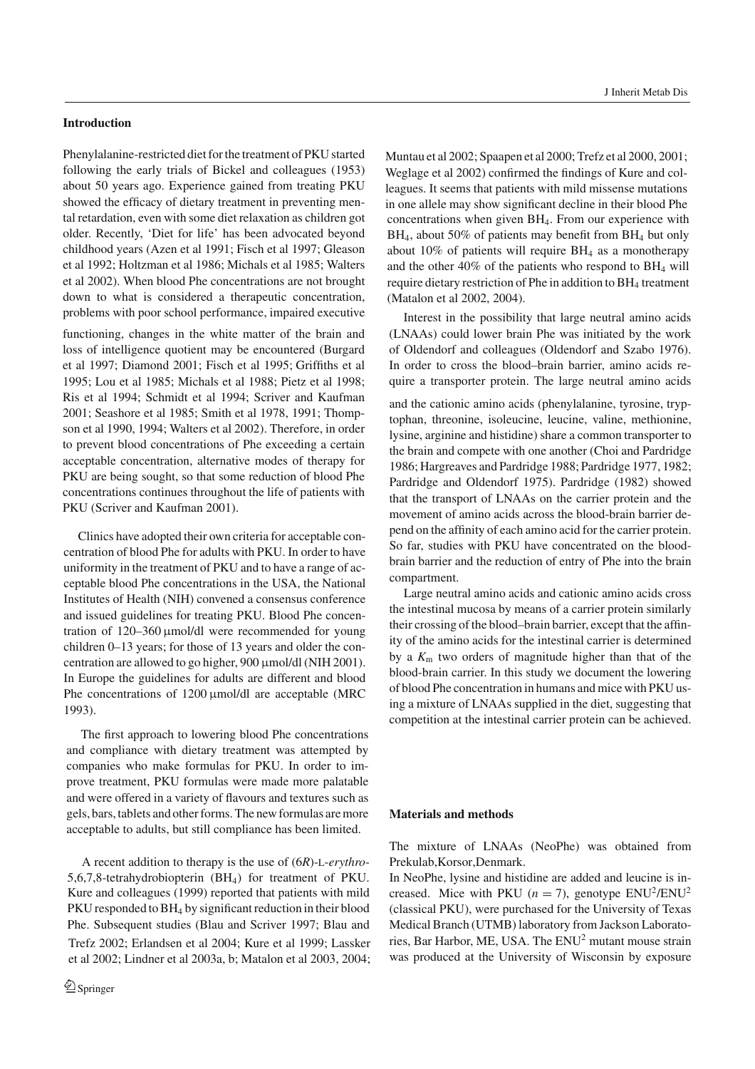#### **Introduction**

problems with poor school performance, impaired executive down to what is considered a therapeutic concentration, et al 2002). When blood Phe concentrations are not brought et al 1992; Holtzman et al 1986; Michals et al 1985; Walters childhood years (Azen et al 1991; Fisch et al 1997; Gleason older. Recently, 'Diet for life' has been advocated beyond tal retardation, even with some diet relaxation as children got showed the efficacy of dietary treatment in preventing menabout 50 years ago. Experience gained from treating PKU following the early trials of Bickel and colleagues (1953) Phenylalanine-restricted diet for the treatment of PKU started

functioning, changes in the white matter of the brain and loss of intelligence quotient may be encountered (Burgard et al 1997; Diamond 2001; Fisch et al 1995; Griffiths et al 1995; Lou et al 1985; Michals et al 1988; Pietz et al 1998; Ris et al 1994; Schmidt et al 1994; Scriver and Kaufman 2001; Seashore et al 1985; Smith et al 1978, 1991; Thompson et al 1990, 1994; Walters et al 2002). Therefore, in order to prevent blood concentrations of Phe exceeding a certain acceptable concentration, alternative modes of therapy for PKU are being sought, so that some reduction of blood Phe concentrations continues throughout the life of patients with PKU (Scriver and Kaufman 2001).

Clinics have adopted their own criteria for acceptable concentration of blood Phe for adults with PKU. In order to have uniformity in the treatment of PKU and to have a range of acceptable blood Phe concentrations in the USA, the National Institutes of Health (NIH) convened a consensus conference and issued guidelines for treating PKU. Blood Phe concentration of 120–360 μmol/dl were recommended for young children 0–13 years; for those of 13 years and older the concentration are allowed to go higher, 900 μmol/dl (NIH 2001). In Europe the guidelines for adults are different and blood Phe concentrations of 1200 μmol/dl are acceptable (MRC 1993).

The first approach to lowering blood Phe concentrations and compliance with dietary treatment was attempted by companies who make formulas for PKU. In order to improve treatment, PKU formulas were made more palatable and were offered in a variety of flavours and textures such as gels, bars, tablets and other forms. The new formulas are more acceptable to adults, but still compliance has been limited.

A recent addition to therapy is the use of (6*R*)-L-*erythro*-5,6,7,8-tetrahydrobiopterin (BH4) for treatment of PKU. Kure and colleagues (1999) reported that patients with mild PKU responded to BH<sub>4</sub> by significant reduction in their blood Phe. Subsequent studies (Blau and Scriver 1997; Blau and Trefz 2002; Erlandsen et al 2004; Kure et al 1999; Lassker et al 2002; Lindner et al 2003a, b; Matalon et al 2003, 2004; Muntau et al 2002; Spaapen et al 2000; Trefz et al 2000, 2001; Weglage et al 2002) confirmed the findings of Kure and colleagues. It seems that patients with mild missense mutations in one allele may show significant decline in their blood Phe concentrations when given BH4. From our experience with  $BH<sub>4</sub>$ , about 50% of patients may benefit from  $BH<sub>4</sub>$  but only about 10% of patients will require  $BH<sub>4</sub>$  as a monotherapy and the other  $40\%$  of the patients who respond to BH<sub>4</sub> will require dietary restriction of Phe in addition to BH<sub>4</sub> treatment (Matalon et al 2002, 2004).

Interest in the possibility that large neutral amino acids (LNAAs) could lower brain Phe was initiated by the work of Oldendorf and colleagues (Oldendorf and Szabo 1976). In order to cross the blood–brain barrier, amino acids require a transporter protein. The large neutral amino acids

and the cationic amino acids (phenylalanine, tyrosine, tryptophan, threonine, isoleucine, leucine, valine, methionine, lysine, arginine and histidine) share a common transporter to the brain and compete with one another (Choi and Pardridge 1986; Hargreaves and Pardridge 1988; Pardridge 1977, 1982; Pardridge and Oldendorf 1975). Pardridge (1982) showed that the transport of LNAAs on the carrier protein and the movement of amino acids across the blood-brain barrier depend on the affinity of each amino acid for the carrier protein. So far, studies with PKU have concentrated on the bloodbrain barrier and the reduction of entry of Phe into the brain compartment.

Large neutral amino acids and cationic amino acids cross the intestinal mucosa by means of a carrier protein similarly their crossing of the blood–brain barrier, except that the affinity of the amino acids for the intestinal carrier is determined by a *K*<sup>m</sup> two orders of magnitude higher than that of the blood-brain carrier. In this study we document the lowering of blood Phe concentration in humans and mice with PKU using a mixture of LNAAs supplied in the diet, suggesting that competition at the intestinal carrier protein can be achieved.

### **Materials and methods**

The mixture of LNAAs (NeoPhe) was obtained from Prekulab,Korsor,Denmark.

In NeoPhe, lysine and histidine are added and leucine is increased. Mice with PKU ( $n = 7$ ), genotype ENU<sup>2</sup>/ENU<sup>2</sup> (classical PKU), were purchased for the University of Texas Medical Branch (UTMB) laboratory from Jackson Laboratories, Bar Harbor, ME, USA. The ENU<sup>2</sup> mutant mouse strain was produced at the University of Wisconsin by exposure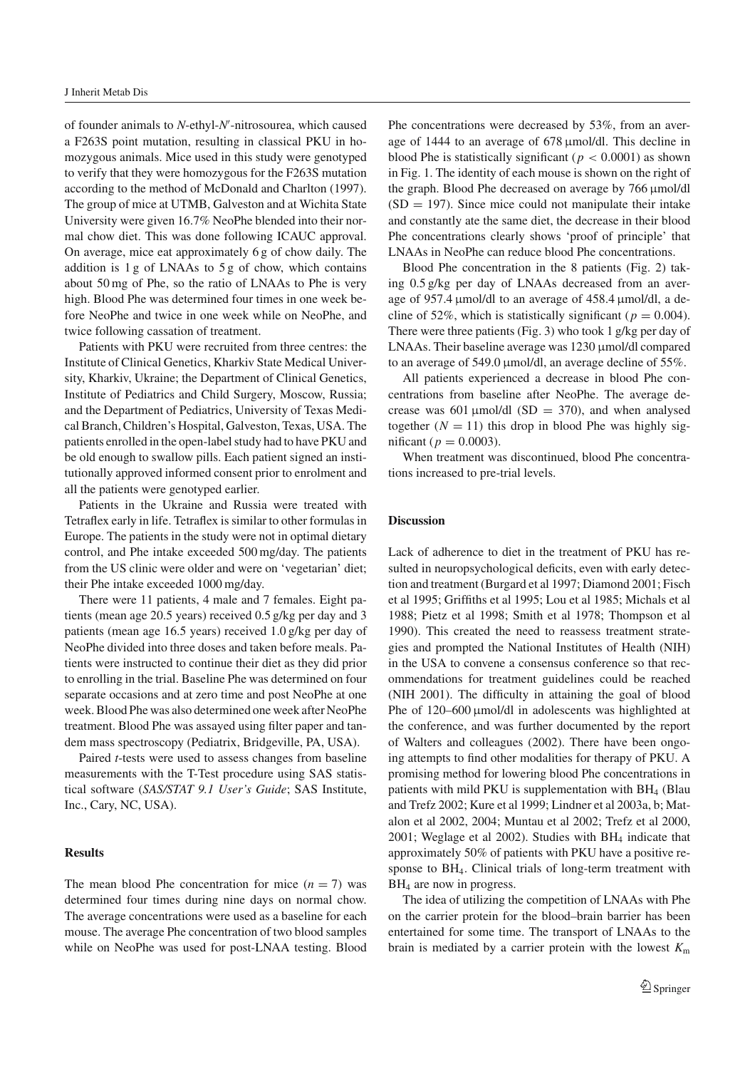of founder animals to *N*-ethyl-*N* -nitrosourea, which caused a F263S point mutation, resulting in classical PKU in homozygous animals. Mice used in this study were genotyped to verify that they were homozygous for the F263S mutation according to the method of McDonald and Charlton (1997). The group of mice at UTMB, Galveston and at Wichita State University were given 16.7% NeoPhe blended into their normal chow diet. This was done following ICAUC approval. On average, mice eat approximately 6 g of chow daily. The addition is 1 g of LNAAs to 5 g of chow, which contains about 50 mg of Phe, so the ratio of LNAAs to Phe is very high. Blood Phe was determined four times in one week before NeoPhe and twice in one week while on NeoPhe, and twice following cassation of treatment.

Patients with PKU were recruited from three centres: the Institute of Clinical Genetics, Kharkiv State Medical University, Kharkiv, Ukraine; the Department of Clinical Genetics, Institute of Pediatrics and Child Surgery, Moscow, Russia; and the Department of Pediatrics, University of Texas Medical Branch, Children's Hospital, Galveston, Texas, USA. The patients enrolled in the open-label study had to have PKU and be old enough to swallow pills. Each patient signed an institutionally approved informed consent prior to enrolment and all the patients were genotyped earlier.

Patients in the Ukraine and Russia were treated with Tetraflex early in life. Tetraflex is similar to other formulas in Europe. The patients in the study were not in optimal dietary control, and Phe intake exceeded 500 mg/day. The patients from the US clinic were older and were on 'vegetarian' diet; their Phe intake exceeded 1000 mg/day.

There were 11 patients, 4 male and 7 females. Eight patients (mean age 20.5 years) received 0.5 g/kg per day and 3 patients (mean age 16.5 years) received 1.0 g/kg per day of NeoPhe divided into three doses and taken before meals. Patients were instructed to continue their diet as they did prior to enrolling in the trial. Baseline Phe was determined on four separate occasions and at zero time and post NeoPhe at one week. Blood Phe was also determined one week after NeoPhe treatment. Blood Phe was assayed using filter paper and tandem mass spectroscopy (Pediatrix, Bridgeville, PA, USA).

Paired *t*-tests were used to assess changes from baseline measurements with the T-Test procedure using SAS statistical software (*SAS/STAT 9.1 User's Guide*; SAS Institute, Inc., Cary, NC, USA).

## **Results**

The mean blood Phe concentration for mice  $(n = 7)$  was determined four times during nine days on normal chow. The average concentrations were used as a baseline for each mouse. The average Phe concentration of two blood samples while on NeoPhe was used for post-LNAA testing. Blood Phe concentrations were decreased by 53%, from an average of 1444 to an average of 678 μmol/dl. This decline in blood Phe is statistically significant ( $p < 0.0001$ ) as shown in Fig. 1. The identity of each mouse is shown on the right of the graph. Blood Phe decreased on average by 766 μmol/dl  $(SD = 197)$ . Since mice could not manipulate their intake and constantly ate the same diet, the decrease in their blood Phe concentrations clearly shows 'proof of principle' that LNAAs in NeoPhe can reduce blood Phe concentrations.

Blood Phe concentration in the 8 patients (Fig. 2) taking 0.5 g/kg per day of LNAAs decreased from an average of 957.4 μmol/dl to an average of 458.4 μmol/dl, a decline of 52%, which is statistically significant ( $p = 0.004$ ). There were three patients (Fig. 3) who took 1 g/kg per day of LNAAs. Their baseline average was 1230 μmol/dl compared to an average of 549.0 μmol/dl, an average decline of 55%.

All patients experienced a decrease in blood Phe concentrations from baseline after NeoPhe. The average decrease was 601  $\mu$ mol/dl (SD = 370), and when analysed together  $(N = 11)$  this drop in blood Phe was highly significant ( $p = 0.0003$ ).

When treatment was discontinued, blood Phe concentrations increased to pre-trial levels.

## **Discussion**

Lack of adherence to diet in the treatment of PKU has resulted in neuropsychological deficits, even with early detection and treatment (Burgard et al 1997; Diamond 2001; Fisch et al 1995; Griffiths et al 1995; Lou et al 1985; Michals et al 1988; Pietz et al 1998; Smith et al 1978; Thompson et al 1990). This created the need to reassess treatment strategies and prompted the National Institutes of Health (NIH) in the USA to convene a consensus conference so that recommendations for treatment guidelines could be reached (NIH 2001). The difficulty in attaining the goal of blood Phe of 120–600 μmol/dl in adolescents was highlighted at the conference, and was further documented by the report of Walters and colleagues (2002). There have been ongoing attempts to find other modalities for therapy of PKU. A promising method for lowering blood Phe concentrations in patients with mild PKU is supplementation with  $BH<sub>4</sub>$  (Blau and Trefz 2002; Kure et al 1999; Lindner et al 2003a, b; Matalon et al 2002, 2004; Muntau et al 2002; Trefz et al 2000, 2001; Weglage et al 2002). Studies with BH4 indicate that approximately 50% of patients with PKU have a positive response to  $BH<sub>4</sub>$ . Clinical trials of long-term treatment with BH<sub>4</sub> are now in progress.

The idea of utilizing the competition of LNAAs with Phe on the carrier protein for the blood–brain barrier has been entertained for some time. The transport of LNAAs to the brain is mediated by a carrier protein with the lowest  $K<sub>m</sub>$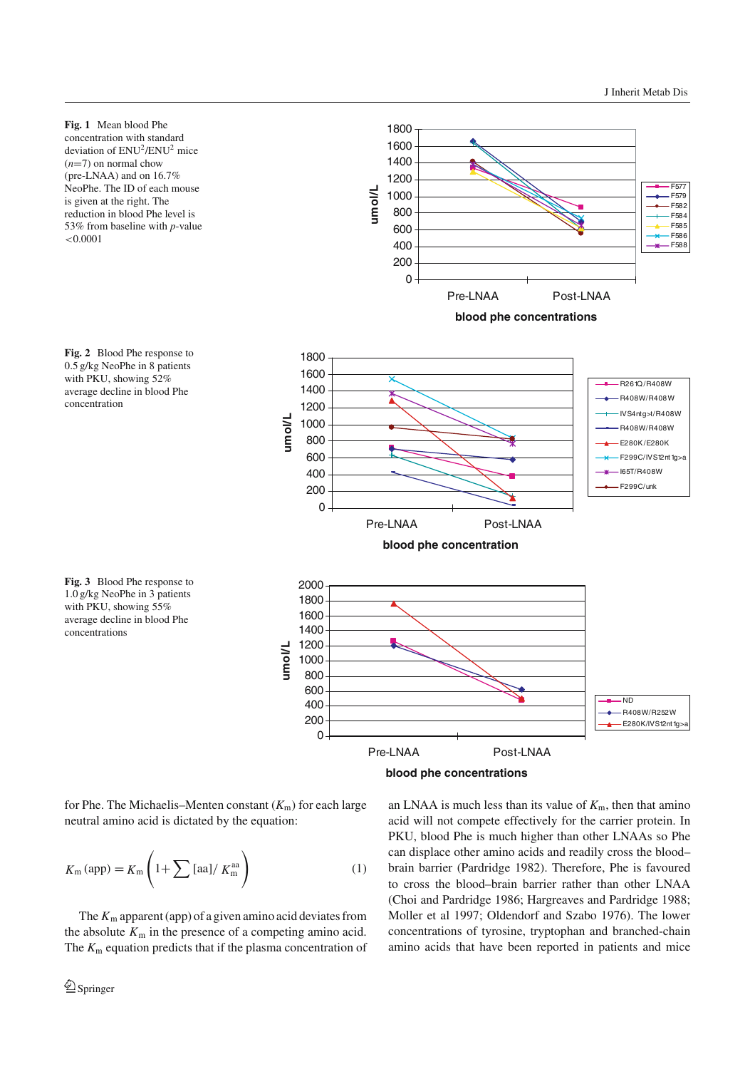**Fig. 1** Mean blood Phe concentration with standard deviation of ENU<sup>2</sup>/ENU<sup>2</sup> mice (*n*=7) on normal chow (pre-LNAA) and on 16.7% NeoPhe. The ID of each mouse is given at the right. The reduction in blood Phe level is 53% from baseline with *p*-value <0.0001

**Fig. 2** Blood Phe response to 0.5 g/kg NeoPhe in 8 patients with PKU, showing 52% average decline in blood Phe concentration







for Phe. The Michaelis–Menten constant (*K*m) for each large neutral amino acid is dictated by the equation:

$$
K_{\rm m} \left( \text{app} \right) = K_{\rm m} \left( 1 + \sum \left[ \text{aa} \right] / K_{\rm m}^{\text{aa}} \right) \tag{1}
$$

The  $K<sub>m</sub>$  apparent (app) of a given amino acid deviates from the absolute  $K<sub>m</sub>$  in the presence of a competing amino acid. The  $K<sub>m</sub>$  equation predicts that if the plasma concentration of an LNAA is much less than its value of  $K<sub>m</sub>$ , then that amino acid will not compete effectively for the carrier protein. In PKU, blood Phe is much higher than other LNAAs so Phe can displace other amino acids and readily cross the blood– brain barrier (Pardridge 1982). Therefore, Phe is favoured to cross the blood–brain barrier rather than other LNAA (Choi and Pardridge 1986; Hargreaves and Pardridge 1988; Moller et al 1997; Oldendorf and Szabo 1976). The lower concentrations of tyrosine, tryptophan and branched-chain amino acids that have been reported in patients and mice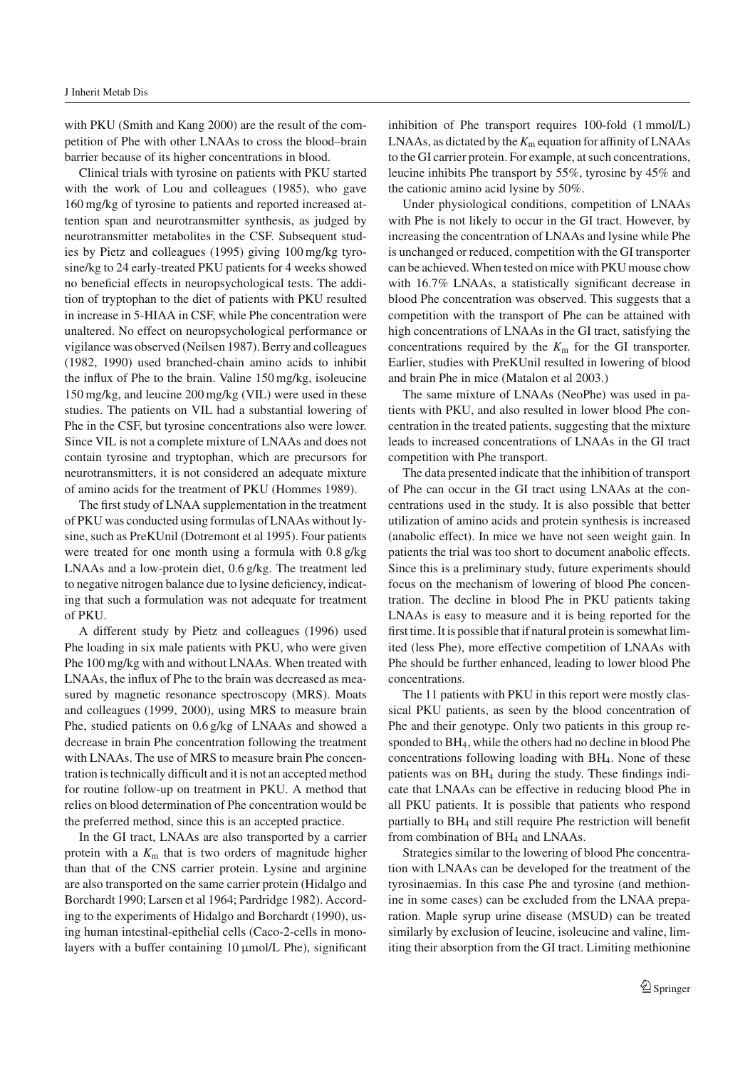with PKU (Smith and Kang 2000) are the result of the competition of Phe with other LNAAs to cross the blood–brain barrier because of its higher concentrations in blood.

Clinical trials with tyrosine on patients with PKU started with the work of Lou and colleagues (1985), who gave 160 mg/kg of tyrosine to patients and reported increased attention span and neurotransmitter synthesis, as judged by neurotransmitter metabolites in the CSF. Subsequent studies by Pietz and colleagues (1995) giving 100 mg/kg tyrosine/kg to 24 early-treated PKU patients for 4 weeks showed no beneficial effects in neuropsychological tests. The addition of tryptophan to the diet of patients with PKU resulted in increase in 5-HIAA in CSF, while Phe concentration were unaltered. No effect on neuropsychological performance or vigilance was observed (Neilsen 1987). Berry and colleagues (1982, 1990) used branched-chain amino acids to inhibit the influx of Phe to the brain. Valine 150 mg/kg, isoleucine 150 mg/kg, and leucine 200 mg/kg (VIL) were used in these studies. The patients on VIL had a substantial lowering of Phe in the CSF, but tyrosine concentrations also were lower. Since VIL is not a complete mixture of LNAAs and does not contain tyrosine and tryptophan, which are precursors for neurotransmitters, it is not considered an adequate mixture of amino acids for the treatment of PKU (Hommes 1989).

The first study of LNAA supplementation in the treatment of PKU was conducted using formulas of LNAAs without lysine, such as PreKUnil (Dotremont et al 1995). Four patients were treated for one month using a formula with 0.8 g/kg LNAAs and a low-protein diet, 0.6 g/kg. The treatment led to negative nitrogen balance due to lysine deficiency, indicating that such a formulation was not adequate for treatment of PKU.

A different study by Pietz and colleagues (1996) used Phe loading in six male patients with PKU, who were given Phe 100 mg/kg with and without LNAAs. When treated with LNAAs, the influx of Phe to the brain was decreased as measured by magnetic resonance spectroscopy (MRS). Moats and colleagues (1999, 2000), using MRS to measure brain Phe, studied patients on 0.6 g/kg of LNAAs and showed a decrease in brain Phe concentration following the treatment with LNAAs. The use of MRS to measure brain Phe concentration is technically difficult and it is not an accepted method for routine follow-up on treatment in PKU. A method that relies on blood determination of Phe concentration would be the preferred method, since this is an accepted practice.

In the GI tract, LNAAs are also transported by a carrier protein with a *K*<sup>m</sup> that is two orders of magnitude higher than that of the CNS carrier protein. Lysine and arginine are also transported on the same carrier protein (Hidalgo and Borchardt 1990; Larsen et al 1964; Pardridge 1982). According to the experiments of Hidalgo and Borchardt (1990), using human intestinal-epithelial cells (Caco-2-cells in monolayers with a buffer containing 10 μmol/L Phe), significant inhibition of Phe transport requires 100-fold (1 mmol/L) LNAAs, as dictated by the  $K<sub>m</sub>$  equation for affinity of LNAAs to the GI carrier protein. For example, at such concentrations, leucine inhibits Phe transport by 55%, tyrosine by 45% and the cationic amino acid lysine by 50%.

Under physiological conditions, competition of LNAAs with Phe is not likely to occur in the GI tract. However, by increasing the concentration of LNAAs and lysine while Phe is unchanged or reduced, competition with the GI transporter can be achieved. When tested on mice with PKU mouse chow with 16.7% LNAAs, a statistically significant decrease in blood Phe concentration was observed. This suggests that a competition with the transport of Phe can be attained with high concentrations of LNAAs in the GI tract, satisfying the concentrations required by the *K*<sup>m</sup> for the GI transporter. Earlier, studies with PreKUnil resulted in lowering of blood and brain Phe in mice (Matalon et al 2003.)

The same mixture of LNAAs (NeoPhe) was used in patients with PKU, and also resulted in lower blood Phe concentration in the treated patients, suggesting that the mixture leads to increased concentrations of LNAAs in the GI tract competition with Phe transport.

The data presented indicate that the inhibition of transport of Phe can occur in the GI tract using LNAAs at the concentrations used in the study. It is also possible that better utilization of amino acids and protein synthesis is increased (anabolic effect). In mice we have not seen weight gain. In patients the trial was too short to document anabolic effects. Since this is a preliminary study, future experiments should focus on the mechanism of lowering of blood Phe concentration. The decline in blood Phe in PKU patients taking LNAAs is easy to measure and it is being reported for the first time. It is possible that if natural protein is somewhat limited (less Phe), more effective competition of LNAAs with Phe should be further enhanced, leading to lower blood Phe concentrations.

The 11 patients with PKU in this report were mostly classical PKU patients, as seen by the blood concentration of Phe and their genotype. Only two patients in this group responded to BH4, while the others had no decline in blood Phe concentrations following loading with BH4. None of these patients was on BH4 during the study. These findings indicate that LNAAs can be effective in reducing blood Phe in all PKU patients. It is possible that patients who respond partially to BH4 and still require Phe restriction will benefit from combination of BH4 and LNAAs.

Strategies similar to the lowering of blood Phe concentration with LNAAs can be developed for the treatment of the tyrosinaemias. In this case Phe and tyrosine (and methionine in some cases) can be excluded from the LNAA preparation. Maple syrup urine disease (MSUD) can be treated similarly by exclusion of leucine, isoleucine and valine, limiting their absorption from the GI tract. Limiting methionine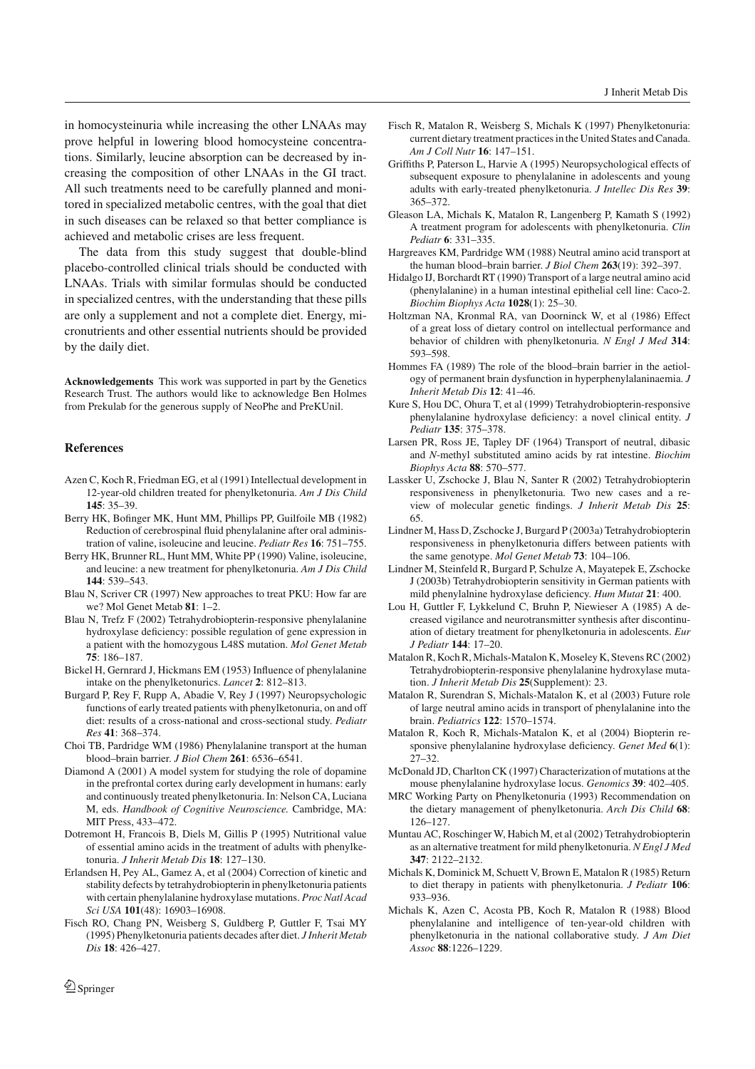in homocysteinuria while increasing the other LNAAs may prove helpful in lowering blood homocysteine concentrations. Similarly, leucine absorption can be decreased by increasing the composition of other LNAAs in the GI tract. All such treatments need to be carefully planned and monitored in specialized metabolic centres, with the goal that diet in such diseases can be relaxed so that better compliance is achieved and metabolic crises are less frequent.

The data from this study suggest that double-blind placebo-controlled clinical trials should be conducted with LNAAs. Trials with similar formulas should be conducted in specialized centres, with the understanding that these pills are only a supplement and not a complete diet. Energy, micronutrients and other essential nutrients should be provided by the daily diet.

**Acknowledgements** This work was supported in part by the Genetics Research Trust. The authors would like to acknowledge Ben Holmes from Prekulab for the generous supply of NeoPhe and PreKUnil.

#### **References**

- Azen C, Koch R, Friedman EG, et al (1991) Intellectual development in 12-year-old children treated for phenylketonuria. *Am J Dis Child* **145**: 35–39.
- Berry HK, Bofinger MK, Hunt MM, Phillips PP, Guilfoile MB (1982) Reduction of cerebrospinal fluid phenylalanine after oral administration of valine, isoleucine and leucine. *Pediatr Res* **16**: 751–755.
- Berry HK, Brunner RL, Hunt MM, White PP (1990) Valine, isoleucine, and leucine: a new treatment for phenylketonuria. *Am J Dis Child* **144**: 539–543.
- Blau N, Scriver CR (1997) New approaches to treat PKU: How far are we? Mol Genet Metab **81**: 1–2.
- Blau N, Trefz F (2002) Tetrahydrobiopterin-responsive phenylalanine hydroxylase deficiency: possible regulation of gene expression in a patient with the homozygous L48S mutation. *Mol Genet Metab* **75**: 186–187.
- Bickel H, Gernrard J, Hickmans EM (1953) Influence of phenylalanine intake on the phenylketonurics. *Lancet* **2**: 812–813.
- Burgard P, Rey F, Rupp A, Abadie V, Rey J (1997) Neuropsychologic functions of early treated patients with phenylketonuria, on and off diet: results of a cross-national and cross-sectional study. *Pediatr Res* **41**: 368–374.
- Choi TB, Pardridge WM (1986) Phenylalanine transport at the human blood–brain barrier. *J Biol Chem* **261**: 6536–6541.
- Diamond A (2001) A model system for studying the role of dopamine in the prefrontal cortex during early development in humans: early and continuously treated phenylketonuria. In: Nelson CA, Luciana M, eds. *Handbook of Cognitive Neuroscience.* Cambridge, MA: MIT Press, 433–472.
- Dotremont H, Francois B, Diels M, Gillis P (1995) Nutritional value of essential amino acids in the treatment of adults with phenylketonuria. *J Inherit Metab Dis* **18**: 127–130.
- Erlandsen H, Pey AL, Gamez A, et al (2004) Correction of kinetic and stability defects by tetrahydrobiopterin in phenylketonuria patients with certain phenylalanine hydroxylase mutations. *Proc Natl Acad Sci USA* **101**(48): 16903–16908.
- Fisch RO, Chang PN, Weisberg S, Guldberg P, Guttler F, Tsai MY (1995) Phenylketonuria patients decades after diet. *J Inherit Metab Dis* **18**: 426–427.
- Fisch R, Matalon R, Weisberg S, Michals K (1997) Phenylketonuria: current dietary treatment practices in the United States and Canada. *Am J Coll Nutr* **16**: 147–151.
- Griffiths P, Paterson L, Harvie A (1995) Neuropsychological effects of subsequent exposure to phenylalanine in adolescents and young adults with early-treated phenylketonuria. *J Intellec Dis Res* **39**: 365–372.
- Gleason LA, Michals K, Matalon R, Langenberg P, Kamath S (1992) A treatment program for adolescents with phenylketonuria. *Clin Pediatr* **6**: 331–335.
- Hargreaves KM, Pardridge WM (1988) Neutral amino acid transport at the human blood–brain barrier. *J Biol Chem* **263**(19): 392–397.
- Hidalgo IJ, Borchardt RT (1990) Transport of a large neutral amino acid (phenylalanine) in a human intestinal epithelial cell line: Caco-2. *Biochim Biophys Acta* **1028**(1): 25–30.
- Holtzman NA, Kronmal RA, van Doorninck W, et al (1986) Effect of a great loss of dietary control on intellectual performance and behavior of children with phenylketonuria. *N Engl J Med* **314**: 593–598.
- Hommes FA (1989) The role of the blood–brain barrier in the aetiology of permanent brain dysfunction in hyperphenylalaninaemia. *J Inherit Metab Dis* **12**: 41–46.
- Kure S, Hou DC, Ohura T, et al (1999) Tetrahydrobiopterin-responsive phenylalanine hydroxylase deficiency: a novel clinical entity. *J Pediatr* **135**: 375–378.
- Larsen PR, Ross JE, Tapley DF (1964) Transport of neutral, dibasic and *N*-methyl substituted amino acids by rat intestine. *Biochim Biophys Acta* **88**: 570–577.
- Lassker U, Zschocke J, Blau N, Santer R (2002) Tetrahydrobiopterin responsiveness in phenylketonuria. Two new cases and a review of molecular genetic findings. *J Inherit Metab Dis* **25**: 65.
- Lindner M, Hass D, Zschocke J, Burgard P (2003a) Tetrahydrobiopterin responsiveness in phenylketonuria differs between patients with the same genotype. *Mol Genet Metab* **73**: 104–106.
- Lindner M, Steinfeld R, Burgard P, Schulze A, Mayatepek E, Zschocke J (2003b) Tetrahydrobiopterin sensitivity in German patients with mild phenylalnine hydroxylase deficiency. *Hum Mutat* **21**: 400.
- Lou H, Guttler F, Lykkelund C, Bruhn P, Niewieser A (1985) A decreased vigilance and neurotransmitter synthesis after discontinuation of dietary treatment for phenylketonuria in adolescents. *Eur J Pediatr* **144**: 17–20.
- Matalon R, Koch R, Michals-Matalon K, Moseley K, Stevens RC (2002) Tetrahydrobiopterin-responsive phenylalanine hydroxylase mutation. *J Inherit Metab Dis* **25**(Supplement): 23.
- Matalon R, Surendran S, Michals-Matalon K, et al (2003) Future role of large neutral amino acids in transport of phenylalanine into the brain. *Pediatrics* **122**: 1570–1574.
- Matalon R, Koch R, Michals-Matalon K, et al (2004) Biopterin responsive phenylalanine hydroxylase deficiency. *Genet Med* **6**(1): 27–32.
- McDonald JD, Charlton CK (1997) Characterization of mutations at the mouse phenylalanine hydroxylase locus. *Genomics* **39**: 402–405.
- MRC Working Party on Phenylketonuria (1993) Recommendation on the dietary management of phenylketonuria. *Arch Dis Child* **68**: 126–127.
- Muntau AC, Roschinger W, Habich M, et al (2002) Tetrahydrobiopterin as an alternative treatment for mild phenylketonuria. *N Engl J Med* **347**: 2122–2132.
- Michals K, Dominick M, Schuett V, Brown E, Matalon R (1985) Return to diet therapy in patients with phenylketonuria. *J Pediatr* **106**: 933–936.
- Michals K, Azen C, Acosta PB, Koch R, Matalon R (1988) Blood phenylalanine and intelligence of ten-year-old children with phenylketonuria in the national collaborative study. *J Am Diet Assoc* **88**:1226–1229.